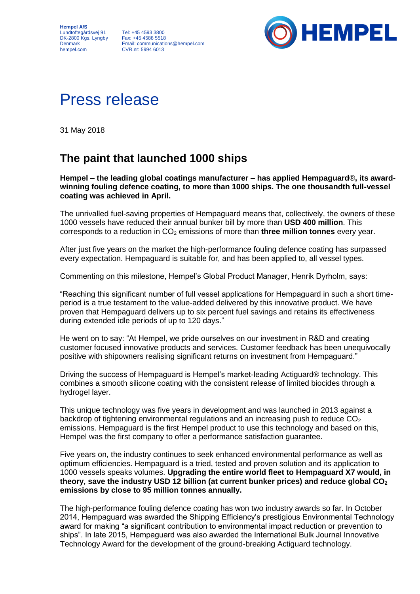**Hempel A/S** Lundtoftegårdsvej 91 DK-2800 Kgs. Lyngby **Denmark** hempel.com

Tel: +45 4593 3800 Fax: +45 4588 5518 Email: communications@hempel.com CVR.nr: 5994 6013



# Press release

31 May 2018

# **The paint that launched 1000 ships**

**Hempel – the leading global coatings manufacturer – has applied Hempaguard**®**, its awardwinning fouling defence coating, to more than 1000 ships. The one thousandth full-vessel coating was achieved in April.** 

The unrivalled fuel-saving properties of Hempaguard means that, collectively, the owners of these 1000 vessels have reduced their annual bunker bill by more than **USD 400 million**. This corresponds to a reduction in CO<sup>2</sup> emissions of more than **three million tonnes** every year.

After just five years on the market the high-performance fouling defence coating has surpassed every expectation. Hempaguard is suitable for, and has been applied to, all vessel types.

Commenting on this milestone, Hempel's Global Product Manager, Henrik Dyrholm, says:

"Reaching this significant number of full vessel applications for Hempaguard in such a short timeperiod is a true testament to the value-added delivered by this innovative product. We have proven that Hempaguard delivers up to six percent fuel savings and retains its effectiveness during extended idle periods of up to 120 days."

He went on to say: "At Hempel, we pride ourselves on our investment in R&D and creating customer focused innovative products and services. Customer feedback has been unequivocally positive with shipowners realising significant returns on investment from Hempaguard."

Driving the success of Hempaguard is Hempel's market-leading Actiguard® technology. This combines a smooth silicone coating with the consistent release of limited biocides through a hydrogel layer.

This unique technology was five years in development and was launched in 2013 against a backdrop of tightening environmental regulations and an increasing push to reduce  $CO<sub>2</sub>$ emissions. Hempaguard is the first Hempel product to use this technology and based on this, Hempel was the first company to offer a performance satisfaction guarantee.

Five years on, the industry continues to seek enhanced environmental performance as well as optimum efficiencies. Hempaguard is a tried, tested and proven solution and its application to 1000 vessels speaks volumes. **Upgrading the entire world fleet to Hempaguard X7 would, in theory, save the industry USD 12 billion (at current bunker prices) and reduce global CO<sup>2</sup> emissions by close to 95 million tonnes annually.**

The high-performance fouling defence coating has won two industry awards so far. In October 2014, Hempaguard was awarded the Shipping Efficiency's prestigious Environmental Technology award for making "a significant contribution to environmental impact reduction or prevention to ships". In late 2015, Hempaguard was also awarded the International Bulk Journal Innovative Technology Award for the development of the ground-breaking Actiguard technology.